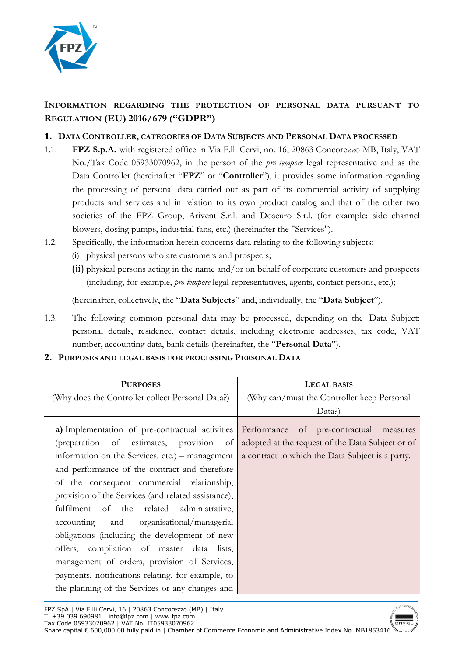

# **INFORMATION REGARDING THE PROTECTION OF PERSONAL DATA PURSUANT TO REGULATION (EU) 2016/679 ("GDPR")**

# **1. DATA CONTROLLER, CATEGORIES OF DATA SUBJECTS AND PERSONAL DATA PROCESSED**

- 1.1. **FPZ S.p.A.** with registered office in Via F.lli Cervi, no. 16, 20863 Concorezzo MB, Italy, VAT No./Tax Code 05933070962, in the person of the *pro tempore* legal representative and as the Data Controller (hereinafter "**FPZ**" or "**Controller**"), it provides some information regarding the processing of personal data carried out as part of its commercial activity of supplying products and services and in relation to its own product catalog and that of the other two societies of the FPZ Group, Arivent S.r.l. and Doseuro S.r.l. (for example: side channel blowers, dosing pumps, industrial fans, etc.) (hereinafter the "Services").
- 1.2. Specifically, the information herein concerns data relating to the following subjects:
	- (i) physical persons who are customers and prospects;
	- (ii) physical persons acting in the name and/or on behalf of corporate customers and prospects (including, for example, *pro tempore* legal representatives, agents, contact persons, etc.);

(hereinafter, collectively, the "**Data Subjects**" and, individually, the "**Data Subject**").

1.3. The following common personal data may be processed, depending on the Data Subject: personal details, residence, contact details, including electronic addresses, tax code, VAT number, accounting data, bank details (hereinafter, the "**Personal Data**").

#### **2. PURPOSES AND LEGAL BASIS FOR PROCESSING PERSONAL DATA**

| <b>PURPOSES</b><br>(Why does the Controller collect Personal Data?)                                                                                                                                                                                                                                                                                                                                                                                                                                                                                                                                                                                                                        | LEGAL BASIS<br>(Why can/must the Controller keep Personal<br>Data?)                                  |  |  |  |
|--------------------------------------------------------------------------------------------------------------------------------------------------------------------------------------------------------------------------------------------------------------------------------------------------------------------------------------------------------------------------------------------------------------------------------------------------------------------------------------------------------------------------------------------------------------------------------------------------------------------------------------------------------------------------------------------|------------------------------------------------------------------------------------------------------|--|--|--|
| a) Implementation of pre-contractual activities Performance of pre-contractual measures<br>(preparation of estimates, provision of<br>information on the Services, etc.) – management<br>and performance of the contract and therefore<br>of the consequent commercial relationship,<br>provision of the Services (and related assistance),<br>fulfilment of the related administrative,<br>accounting and organisational/managerial<br>obligations (including the development of new<br>offers, compilation of master data lists,<br>management of orders, provision of Services,<br>payments, notifications relating, for example, to<br>the planning of the Services or any changes and | adopted at the request of the Data Subject or of<br>a contract to which the Data Subject is a party. |  |  |  |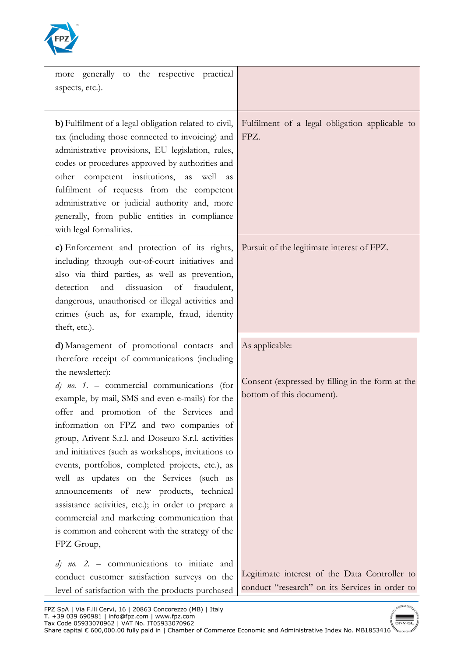

| more generally to the respective practical<br>aspects, etc.).                                                                                                                                                                                                                                                                                                                                                                                                                                                                                                                                                                                                                                                                             |                                                                                                 |
|-------------------------------------------------------------------------------------------------------------------------------------------------------------------------------------------------------------------------------------------------------------------------------------------------------------------------------------------------------------------------------------------------------------------------------------------------------------------------------------------------------------------------------------------------------------------------------------------------------------------------------------------------------------------------------------------------------------------------------------------|-------------------------------------------------------------------------------------------------|
| b) Fulfilment of a legal obligation related to civil,<br>tax (including those connected to invoicing) and<br>administrative provisions, EU legislation, rules,<br>codes or procedures approved by authorities and<br>other competent institutions, as<br>well<br>as<br>fulfilment of requests from the competent<br>administrative or judicial authority and, more<br>generally, from public entities in compliance<br>with legal formalities.                                                                                                                                                                                                                                                                                            | Fulfilment of a legal obligation applicable to<br>FPZ.                                          |
| c) Enforcement and protection of its rights,<br>including through out-of-court initiatives and<br>also via third parties, as well as prevention,<br>dissuasion<br>detection<br>and<br>of<br>fraudulent,<br>dangerous, unauthorised or illegal activities and<br>crimes (such as, for example, fraud, identity<br>theft, etc.).                                                                                                                                                                                                                                                                                                                                                                                                            | Pursuit of the legitimate interest of FPZ.                                                      |
| d) Management of promotional contacts and<br>therefore receipt of communications (including<br>the newsletter):<br>$d)$ no. 1. – commercial communications (for<br>example, by mail, SMS and even e-mails) for the<br>offer and promotion of the Services and<br>information on FPZ and two companies of<br>group, Arivent S.r.l. and Doseuro S.r.l. activities<br>and initiatives (such as workshops, invitations to<br>events, portfolios, completed projects, etc.), as<br>well as updates on the Services (such as<br>announcements of new products, technical<br>assistance activities, etc.); in order to prepare a<br>commercial and marketing communication that<br>is common and coherent with the strategy of the<br>FPZ Group, | As applicable:<br>Consent (expressed by filling in the form at the<br>bottom of this document). |
|                                                                                                                                                                                                                                                                                                                                                                                                                                                                                                                                                                                                                                                                                                                                           |                                                                                                 |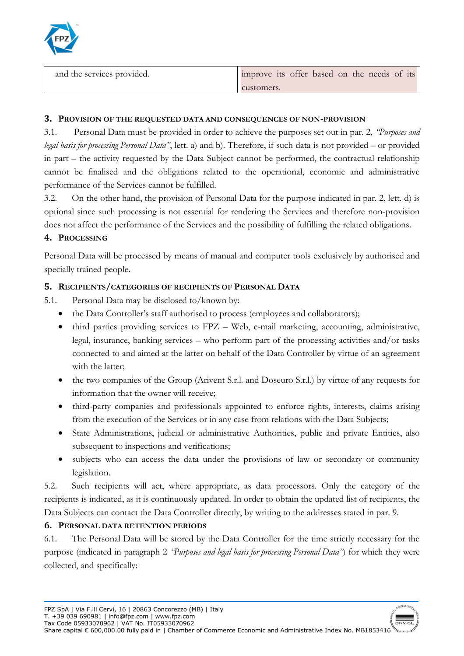

| and the services provided. | improve its offer based on the needs of its |
|----------------------------|---------------------------------------------|
|                            | customers.                                  |

#### **3. PROVISION OF THE REQUESTED DATA AND CONSEQUENCES OF NON-PROVISION**

3.1. Personal Data must be provided in order to achieve the purposes set out in par. 2, *"Purposes and legal basis for processing Personal Data"*, lett. a) and b). Therefore, if such data is not provided – or provided in part – the activity requested by the Data Subject cannot be performed, the contractual relationship cannot be finalised and the obligations related to the operational, economic and administrative performance of the Services cannot be fulfilled.

3.2. On the other hand, the provision of Personal Data for the purpose indicated in par. 2, lett. d) is optional since such processing is not essential for rendering the Services and therefore non-provision does not affect the performance of the Services and the possibility of fulfilling the related obligations.

## **4. PROCESSING**

Personal Data will be processed by means of manual and computer tools exclusively by authorised and specially trained people.

## **5. RECIPIENTS/CATEGORIES OF RECIPIENTS OF PERSONAL DATA**

- 5.1. Personal Data may be disclosed to/known by:
	- the Data Controller's staff authorised to process (employees and collaborators);
	- third parties providing services to FPZ Web, e-mail marketing, accounting, administrative, legal, insurance, banking services – who perform part of the processing activities and/or tasks connected to and aimed at the latter on behalf of the Data Controller by virtue of an agreement with the latter;
	- the two companies of the Group (Arivent S.r.l. and Doseuro S.r.l.) by virtue of any requests for information that the owner will receive;
	- third-party companies and professionals appointed to enforce rights, interests, claims arising from the execution of the Services or in any case from relations with the Data Subjects;
	- State Administrations, judicial or administrative Authorities, public and private Entities, also subsequent to inspections and verifications;
	- subjects who can access the data under the provisions of law or secondary or community legislation.

5.2. Such recipients will act, where appropriate, as data processors. Only the category of the recipients is indicated, as it is continuously updated. In order to obtain the updated list of recipients, the Data Subjects can contact the Data Controller directly, by writing to the addresses stated in par. 9.

## **6. PERSONAL DATA RETENTION PERIODS**

6.1. The Personal Data will be stored by the Data Controller for the time strictly necessary for the purpose (indicated in paragraph 2 *"Purposes and legal basis for processing Personal Data"*) for which they were collected, and specifically:

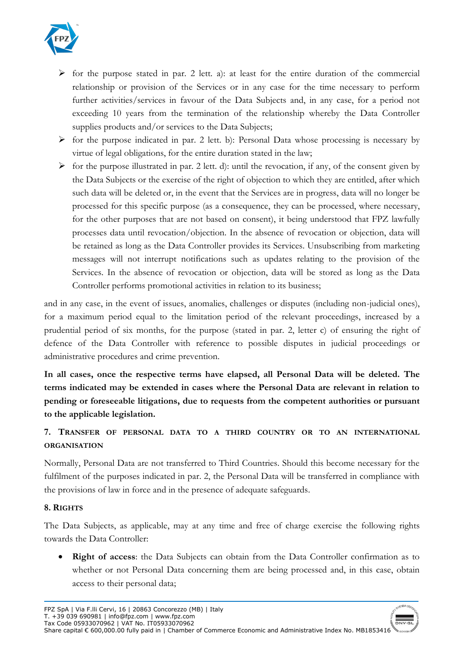

- $\triangleright$  for the purpose stated in par. 2 lett. a): at least for the entire duration of the commercial relationship or provision of the Services or in any case for the time necessary to perform further activities/services in favour of the Data Subjects and, in any case, for a period not exceeding 10 years from the termination of the relationship whereby the Data Controller supplies products and/or services to the Data Subjects;
- $\triangleright$  for the purpose indicated in par. 2 lett. b): Personal Data whose processing is necessary by virtue of legal obligations, for the entire duration stated in the law;
- $\triangleright$  for the purpose illustrated in par. 2 lett. d): until the revocation, if any, of the consent given by the Data Subjects or the exercise of the right of objection to which they are entitled, after which such data will be deleted or, in the event that the Services are in progress, data will no longer be processed for this specific purpose (as a consequence, they can be processed, where necessary, for the other purposes that are not based on consent), it being understood that FPZ lawfully processes data until revocation/objection. In the absence of revocation or objection, data will be retained as long as the Data Controller provides its Services. Unsubscribing from marketing messages will not interrupt notifications such as updates relating to the provision of the Services. In the absence of revocation or objection, data will be stored as long as the Data Controller performs promotional activities in relation to its business;

and in any case, in the event of issues, anomalies, challenges or disputes (including non-judicial ones), for a maximum period equal to the limitation period of the relevant proceedings, increased by a prudential period of six months, for the purpose (stated in par. 2, letter c) of ensuring the right of defence of the Data Controller with reference to possible disputes in judicial proceedings or administrative procedures and crime prevention.

**In all cases, once the respective terms have elapsed, all Personal Data will be deleted. The terms indicated may be extended in cases where the Personal Data are relevant in relation to pending or foreseeable litigations, due to requests from the competent authorities or pursuant to the applicable legislation.** 

# **7. TRANSFER OF PERSONAL DATA TO A THIRD COUNTRY OR TO AN INTERNATIONAL ORGANISATION**

Normally, Personal Data are not transferred to Third Countries. Should this become necessary for the fulfilment of the purposes indicated in par. 2, the Personal Data will be transferred in compliance with the provisions of law in force and in the presence of adequate safeguards.

## **8. RIGHTS**

The Data Subjects, as applicable, may at any time and free of charge exercise the following rights towards the Data Controller:

• **Right of access**: the Data Subjects can obtain from the Data Controller confirmation as to whether or not Personal Data concerning them are being processed and, in this case, obtain access to their personal data;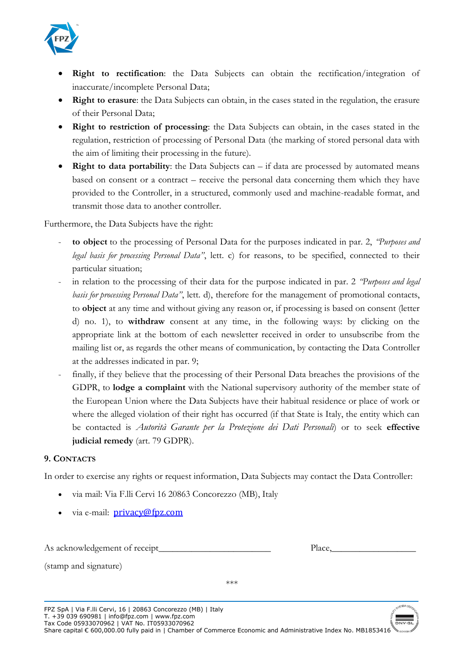

- **Right to rectification**: the Data Subjects can obtain the rectification/integration of inaccurate/incomplete Personal Data;
- **Right to erasure**: the Data Subjects can obtain, in the cases stated in the regulation, the erasure of their Personal Data;
- **Right to restriction of processing**: the Data Subjects can obtain, in the cases stated in the regulation, restriction of processing of Personal Data (the marking of stored personal data with the aim of limiting their processing in the future).
- **Right to data portability**: the Data Subjects can if data are processed by automated means based on consent or a contract – receive the personal data concerning them which they have provided to the Controller, in a structured, commonly used and machine-readable format, and transmit those data to another controller.

Furthermore, the Data Subjects have the right:

- **to object** to the processing of Personal Data for the purposes indicated in par. 2, *"Purposes and legal basis for processing Personal Data"*, lett. c) for reasons, to be specified, connected to their particular situation;
- in relation to the processing of their data for the purpose indicated in par. 2 *"Purposes and legal*" *basis for processing Personal Data"*, lett. d), therefore for the management of promotional contacts, to **object** at any time and without giving any reason or, if processing is based on consent (letter d) no. 1), to **withdraw** consent at any time, in the following ways: by clicking on the appropriate link at the bottom of each newsletter received in order to unsubscribe from the mailing list or, as regards the other means of communication, by contacting the Data Controller at the addresses indicated in par. 9;
- finally, if they believe that the processing of their Personal Data breaches the provisions of the GDPR, to **lodge a complaint** with the National supervisory authority of the member state of the European Union where the Data Subjects have their habitual residence or place of work or where the alleged violation of their right has occurred (if that State is Italy, the entity which can be contacted is *Autorità Garante per la Protezione dei Dati Personali*) or to seek **effective judicial remedy** (art. 79 GDPR).

## **9. CONTACTS**

In order to exercise any rights or request information, Data Subjects may contact the Data Controller:

- via mail: Via F.lli Cervi 16 20863 Concorezzo (MB), Italy
- via e-mail: **[privacy@fpz.com](mailto:%E2%80%AFprivacy@arivent.it)**

As acknowledgement of receipt\_

| Place, |  |  |  |  |
|--------|--|--|--|--|
|        |  |  |  |  |

(stamp and signature)

\*\*\*